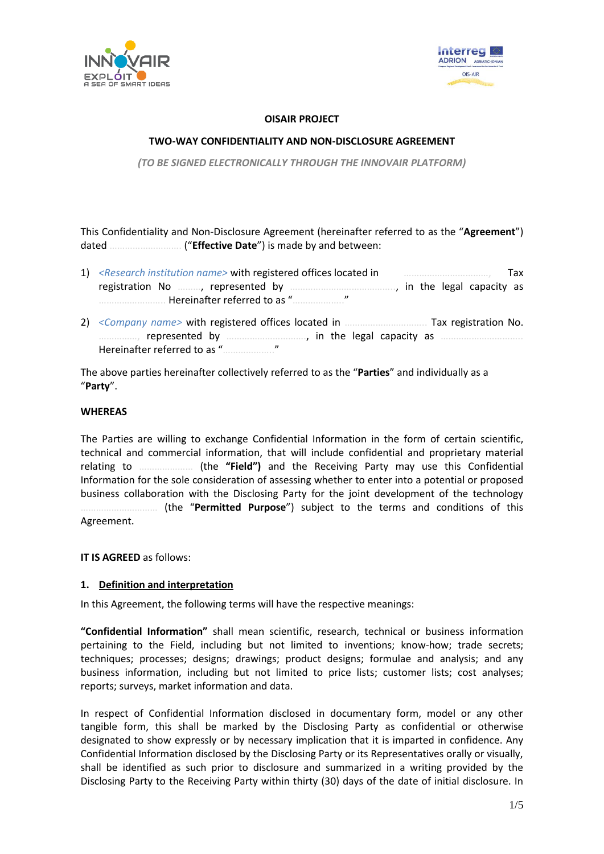



#### **OISAIR PROJECT**

### **TWO-WAY CONFIDENTIALITY AND NON-DISCLOSURE AGREEMENT**

*(TO BE SIGNED ELECTRONICALLY THROUGH THE INNOVAIR PLATFORM)*

This Confidentiality and Non-Disclosure Agreement (hereinafter referred to as the "**Agreement**") dated ………………………. ("**Effective Date**") is made by and between:

- 1) *<Research institution name>* with registered offices located in ……………………………, Tax registration No ………, represented by ………………………………….., in the legal capacity as …………………….. Hereinafter referred to as "……………….."
- 2) *<Company name>* with registered offices located in ………………………….. Tax registration No. ……………, represented by …………………………., in the legal capacity as ………………………….. Hereinafter referred to as "……………….."

The above parties hereinafter collectively referred to as the "**Parties**" and individually as a "**Party**".

#### **WHEREAS**

The Parties are willing to exchange Confidential Information in the form of certain scientific, technical and commercial information, that will include confidential and proprietary material relating to ………………… (the **"Field")** and the Receiving Party may use this Confidential Information for the sole consideration of assessing whether to enter into a potential or proposed business collaboration with the Disclosing Party for the joint development of the technology ………………………… (the "**Permitted Purpose**") subject to the terms and conditions of this Agreement.

**IT IS AGREED** as follows:

#### **1. Definition and interpretation**

In this Agreement, the following terms will have the respective meanings:

**"Confidential Information"** shall mean scientific, research, technical or business information pertaining to the Field, including but not limited to inventions; know-how; trade secrets; techniques; processes; designs; drawings; product designs; formulae and analysis; and any business information, including but not limited to price lists; customer lists; cost analyses; reports; surveys, market information and data.

In respect of Confidential Information disclosed in documentary form, model or any other tangible form, this shall be marked by the Disclosing Party as confidential or otherwise designated to show expressly or by necessary implication that it is imparted in confidence. Any Confidential Information disclosed by the Disclosing Party or its Representatives orally or visually, shall be identified as such prior to disclosure and summarized in a writing provided by the Disclosing Party to the Receiving Party within thirty (30) days of the date of initial disclosure. In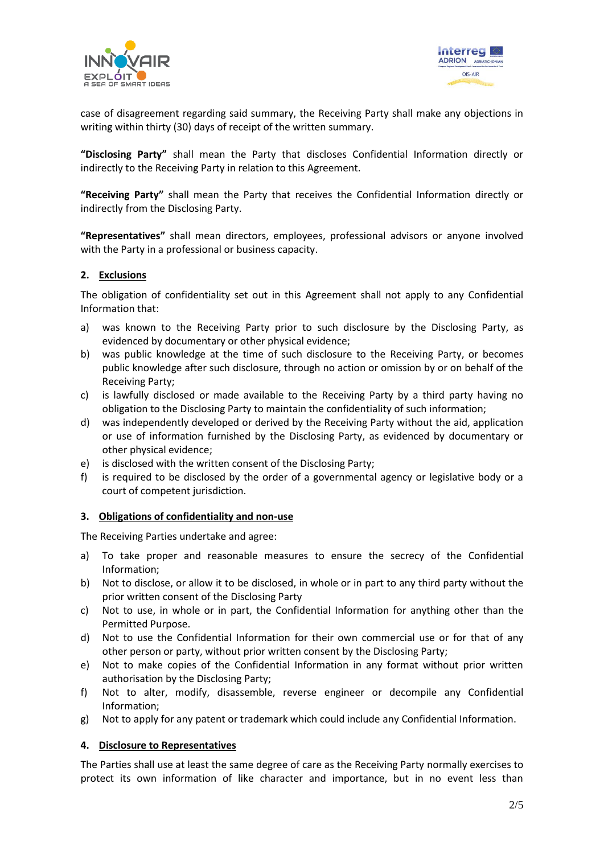



case of disagreement regarding said summary, the Receiving Party shall make any objections in writing within thirty (30) days of receipt of the written summary.

**"Disclosing Party"** shall mean the Party that discloses Confidential Information directly or indirectly to the Receiving Party in relation to this Agreement.

**"Receiving Party"** shall mean the Party that receives the Confidential Information directly or indirectly from the Disclosing Party.

**"Representatives"** shall mean directors, employees, professional advisors or anyone involved with the Party in a professional or business capacity.

#### **2. Exclusions**

The obligation of confidentiality set out in this Agreement shall not apply to any Confidential Information that:

- a) was known to the Receiving Party prior to such disclosure by the Disclosing Party, as evidenced by documentary or other physical evidence;
- b) was public knowledge at the time of such disclosure to the Receiving Party, or becomes public knowledge after such disclosure, through no action or omission by or on behalf of the Receiving Party;
- c) is lawfully disclosed or made available to the Receiving Party by a third party having no obligation to the Disclosing Party to maintain the confidentiality of such information;
- d) was independently developed or derived by the Receiving Party without the aid, application or use of information furnished by the Disclosing Party, as evidenced by documentary or other physical evidence;
- e) is disclosed with the written consent of the Disclosing Party;
- f) is required to be disclosed by the order of a governmental agency or legislative body or a court of competent jurisdiction.

#### **3. Obligations of confidentiality and non-use**

The Receiving Parties undertake and agree:

- a) To take proper and reasonable measures to ensure the secrecy of the Confidential Information;
- b) Not to disclose, or allow it to be disclosed, in whole or in part to any third party without the prior written consent of the Disclosing Party
- c) Not to use, in whole or in part, the Confidential Information for anything other than the Permitted Purpose.
- d) Not to use the Confidential Information for their own commercial use or for that of any other person or party, without prior written consent by the Disclosing Party;
- e) Not to make copies of the Confidential Information in any format without prior written authorisation by the Disclosing Party;
- f) Not to alter, modify, disassemble, reverse engineer or decompile any Confidential Information;
- g) Not to apply for any patent or trademark which could include any Confidential Information.

#### **4. Disclosure to Representatives**

The Parties shall use at least the same degree of care as the Receiving Party normally exercises to protect its own information of like character and importance, but in no event less than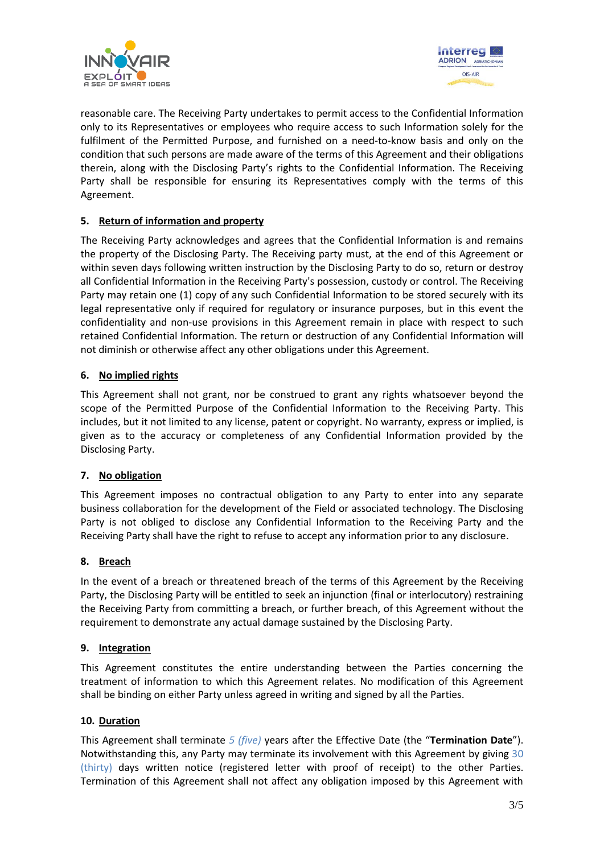



reasonable care. The Receiving Party undertakes to permit access to the Confidential Information only to its Representatives or employees who require access to such Information solely for the fulfilment of the Permitted Purpose, and furnished on a need-to-know basis and only on the condition that such persons are made aware of the terms of this Agreement and their obligations therein, along with the Disclosing Party's rights to the Confidential Information. The Receiving Party shall be responsible for ensuring its Representatives comply with the terms of this Agreement.

# **5. Return of information and property**

The Receiving Party acknowledges and agrees that the Confidential Information is and remains the property of the Disclosing Party. The Receiving party must, at the end of this Agreement or within seven days following written instruction by the Disclosing Party to do so, return or destroy all Confidential Information in the Receiving Party's possession, custody or control. The Receiving Party may retain one (1) copy of any such Confidential Information to be stored securely with its legal representative only if required for regulatory or insurance purposes, but in this event the confidentiality and non-use provisions in this Agreement remain in place with respect to such retained Confidential Information. The return or destruction of any Confidential Information will not diminish or otherwise affect any other obligations under this Agreement.

## **6. No implied rights**

This Agreement shall not grant, nor be construed to grant any rights whatsoever beyond the scope of the Permitted Purpose of the Confidential Information to the Receiving Party. This includes, but it not limited to any license, patent or copyright. No warranty, express or implied, is given as to the accuracy or completeness of any Confidential Information provided by the Disclosing Party.

#### **7. No obligation**

This Agreement imposes no contractual obligation to any Party to enter into any separate business collaboration for the development of the Field or associated technology. The Disclosing Party is not obliged to disclose any Confidential Information to the Receiving Party and the Receiving Party shall have the right to refuse to accept any information prior to any disclosure.

#### **8. Breach**

In the event of a breach or threatened breach of the terms of this Agreement by the Receiving Party, the Disclosing Party will be entitled to seek an injunction (final or interlocutory) restraining the Receiving Party from committing a breach, or further breach, of this Agreement without the requirement to demonstrate any actual damage sustained by the Disclosing Party.

#### **9. Integration**

This Agreement constitutes the entire understanding between the Parties concerning the treatment of information to which this Agreement relates. No modification of this Agreement shall be binding on either Party unless agreed in writing and signed by all the Parties.

#### **10. Duration**

This Agreement shall terminate *5 (five)* years after the Effective Date (the "**Termination Date**"). Notwithstanding this, any Party may terminate its involvement with this Agreement by giving 30 (thirty) days written notice (registered letter with proof of receipt) to the other Parties. Termination of this Agreement shall not affect any obligation imposed by this Agreement with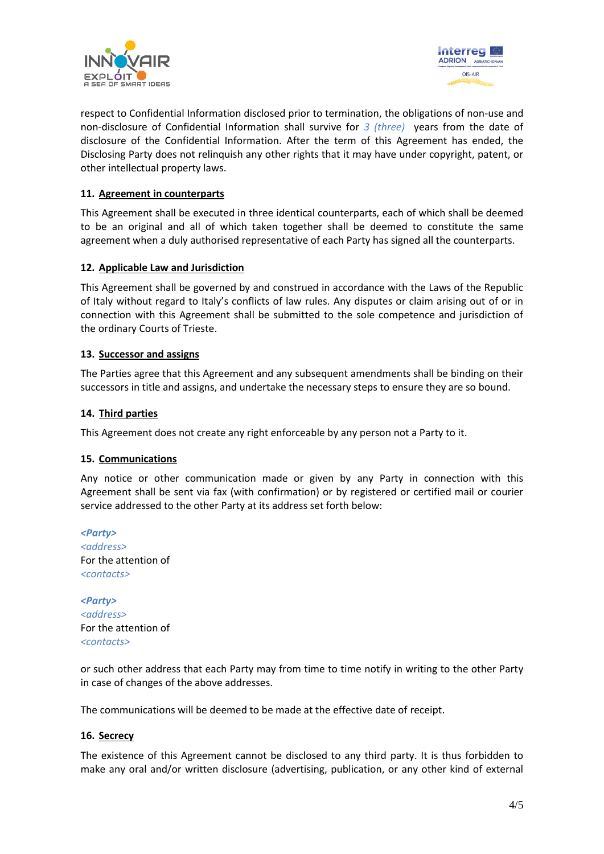



respect to Confidential Information disclosed prior to termination, the obligations of non-use and non-disclosure of Confidential Information shall survive for *3 (three)* years from the date of disclosure of the Confidential Information. After the term of this Agreement has ended, the Disclosing Party does not relinquish any other rights that it may have under copyright, patent, or other intellectual property laws.

### **11. Agreement in counterparts**

This Agreement shall be executed in three identical counterparts, each of which shall be deemed to be an original and all of which taken together shall be deemed to constitute the same agreement when a duly authorised representative of each Party has signed all the counterparts.

#### **12. Applicable Law and Jurisdiction**

This Agreement shall be governed by and construed in accordance with the Laws of the Republic of Italy without regard to Italy's conflicts of law rules. Any disputes or claim arising out of or in connection with this Agreement shall be submitted to the sole competence and jurisdiction of the ordinary Courts of Trieste.

#### **13. Successor and assigns**

The Parties agree that this Agreement and any subsequent amendments shall be binding on their successors in title and assigns, and undertake the necessary steps to ensure they are so bound.

#### **14. Third parties**

This Agreement does not create any right enforceable by any person not a Party to it.

#### **15. Communications**

Any notice or other communication made or given by any Party in connection with this Agreement shall be sent via fax (with confirmation) or by registered or certified mail or courier service addressed to the other Party at its address set forth below:

*<Party> <address>* For the attention of *<contacts>*

*<Party> <address>* For the attention of *<contacts>*

or such other address that each Party may from time to time notify in writing to the other Party in case of changes of the above addresses.

The communications will be deemed to be made at the effective date of receipt.

#### **16. Secrecy**

The existence of this Agreement cannot be disclosed to any third party. It is thus forbidden to make any oral and/or written disclosure (advertising, publication, or any other kind of external